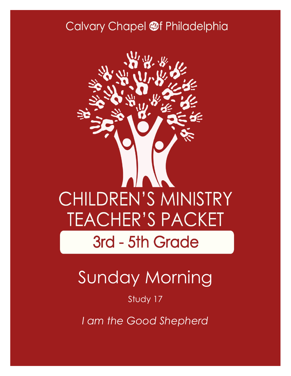## Calvary Chapel @f Philadelphia



# Sunday Morning

### Study 17

*I am the Good Shepherd*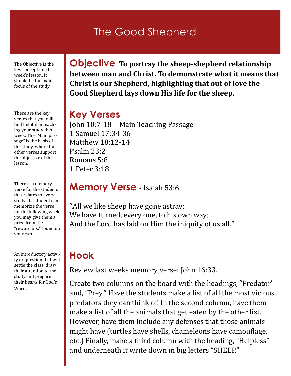### The Good Shepherd

The Objective is the key concept for this week's lesson. It should be the main focus of the study.

These are the key verses that you will find helpful in teaching your study this week. The "Main passage" is the basis of the study, where the other verses support the objective of the lesson.

There is a memory verse for the students that relates to every study. If a student can memorize the verse for the following week you may give them a prize from the "reward box" found on your cart.

An introductory activity or question that will settle the class, draw their attention to the study and prepare their hearts for God's Word.

**Objective To portray the sheep-shepherd relationship between man and Christ. To demonstrate what it means that Christ is our Shepherd, highlighting that out of love the Good Shepherd lays down His life for the sheep.**

#### **Key Verses**

John 10:7-18—Main Teaching Passage 1 Samuel 17:34-36 Matthew 18:12-14 Psalm 23:2 Romans 5:8 1 Peter 3:18

#### **Memory Verse** - Isaiah 53:6

"All we like sheep have gone astray; We have turned, every one, to his own way; And the Lord has laid on Him the iniquity of us all."

### **Hook**

Review last weeks memory verse: John 16:33.

Create two columns on the board with the headings, "Predator" and, "Prey." Have the students make a list of all the most vicious predators they can think of. In the second column, have them make a list of all the animals that get eaten by the other list. However, have them include any defenses that those animals might have (turtles have shells, chameleons have camouflage, etc.) Finally, make a third column with the heading, "Helpless" and underneath it write down in big letters "SHEEP."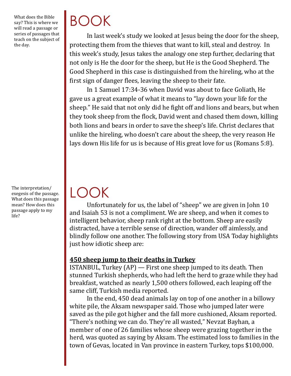What does the Bible say? This is where we will read a passage or series of passages that teach on the subject of the day.

The interpretation/ exegesis of the passage. What does this passage mean? How does this passage apply to my life?

# BOOK

LOOK

In last week's study we looked at Jesus being the door for the sheep, protecting them from the thieves that want to kill, steal and destroy. In this week's study, Jesus takes the analogy one step further, declaring that not only is He the door for the sheep, but He is the Good Shepherd. The Good Shepherd in this case is distinguished from the hireling, who at the first sign of danger flees, leaving the sheep to their fate.

In 1 Samuel 17:34-36 when David was about to face Goliath, He gave us a great example of what it means to "lay down your life for the sheep." He said that not only did he fight off and lions and bears, but when they took sheep from the flock, David went and chased them down, killing both lions and bears in order to save the sheep's life. Christ declares that unlike the hireling, who doesn't care about the sheep, the very reason He lays down His life for us is because of His great love for us (Romans 5:8).

Unfortunately for us, the label of "sheep" we are given in John 10 and Isaiah 53 is not a compliment. We are sheep, and when it comes to intelligent behavior, sheep rank right at the bottom. Sheep are easily distracted, have a terrible sense of direction, wander off aimlessly, and blindly follow one another. The following story from USA Today highlights just how idiotic sheep are:

#### **450 sheep jump to their deaths in Turkey**

ISTANBUL, Turkey (AP) — First one sheep jumped to its death. Then stunned Turkish shepherds, who had left the herd to graze while they had breakfast, watched as nearly 1,500 others followed, each leaping off the same cliff, Turkish media reported.

In the end, 450 dead animals lay on top of one another in a billowy white pile, the Aksam newspaper said. Those who jumped later were saved as the pile got higher and the fall more cushioned, Aksam reported. "There's nothing we can do. They're all wasted," Nevzat Bayhan, a member of one of 26 families whose sheep were grazing together in the herd, was quoted as saying by Aksam. The estimated loss to families in the town of Gevas, located in Van province in eastern Turkey, tops \$100,000.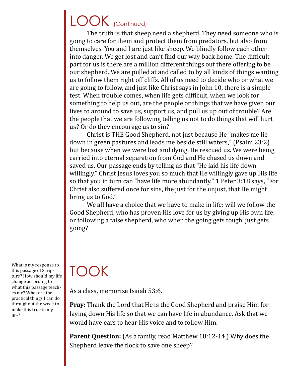## LOOK (Continued)

The truth is that sheep need a shepherd. They need someone who is going to care for them and protect them from predators, but also from themselves. You and I are just like sheep. We blindly follow each other into danger. We get lost and can't find our way back home. The difficult part for us is there are a million different things out there offering to be our shepherd. We are pulled at and called to by all kinds of things wanting us to follow them right off cliffs. All of us need to decide who or what we are going to follow, and just like Christ says in John 10, there is a simple test. When trouble comes, when life gets difficult, when we look for something to help us out, are the people or things that we have given our lives to around to save us, support us, and pull us up out of trouble? Are the people that we are following telling us not to do things that will hurt us? Or do they encourage us to sin?

Christ is THE Good Shepherd, not just because He "makes me lie down in green pastures and leads me beside still waters," (Psalm 23:2) but because when we were lost and dying, He rescued us. We were being carried into eternal separation from God and He chased us down and saved us. Our passage ends by telling us that "He laid his life down willingly." Christ Jesus loves you so much that He willingly gave up His life so that you in turn can "have life more abundantly." 1 Peter 3:18 says, "For Christ also suffered once for sins, the just for the unjust, that He might bring us to God."

We all have a choice that we have to make in life: will we follow the Good Shepherd, who has proven His love for us by giving up His own life, or following a false shepherd, who when the going gets tough, just gets going?

What is my response to this passage of Scripture? How should my life change according to what this passage teaches me? What are the practical things I can do throughout the week to make this true in my life?

## TOOK

As a class, memorize Isaiah 53:6.

**Pray:** Thank the Lord that He is the Good Shepherd and praise Him for laying down His life so that we can have life in abundance. Ask that we would have ears to hear His voice and to follow Him.

Parent Question: (As a family, read Matthew 18:12-14.) Why does the Shepherd leave the flock to save one sheep?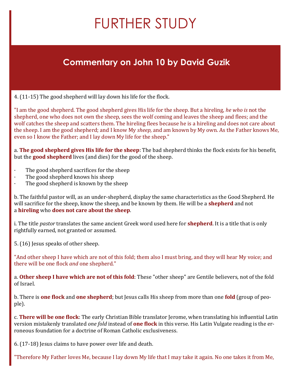## FURTHER STUDY

### **Commentary on John 10 by David Guzik**

4. (11-15) The good shepherd will lay down his life for the flock.

"I am the good shepherd. The good shepherd gives His life for the sheep. But a hireling, *he who is* not the shepherd, one who does not own the sheep, sees the wolf coming and leaves the sheep and flees; and the wolf catches the sheep and scatters them. The hireling flees because he is a hireling and does not care about the sheep. I am the good shepherd; and I know My *sheep,* and am known by My own. As the Father knows Me, even so I know the Father; and I lay down My life for the sheep."

a. **The good shepherd gives His life for the sheep**: The bad shepherd thinks the flock exists for his benefit, but the **good shepherd** lives (and dies) for the good of the sheep.

- The good shepherd sacrifices for the sheep
- The good shepherd knows his sheep
- · The good shepherd is known by the sheep

b. The faithful pastor will, as an under-shepherd, display the same characteristics as the Good Shepherd. He will sacrifice for the sheep, know the sheep, and be known by them. He will be a **shepherd** and not a **hireling** who **does not care about the sheep**.

i. The title *pastor* translates the same ancient Greek word used here for **shepherd**. It is a title that is only rightfully earned, not granted or assumed.

5. (16) Jesus speaks of other sheep.

"And other sheep I have which are not of this fold; them also I must bring, and they will hear My voice; and there will be one flock *and* one shepherd."

a. **Other sheep I have which are not of this fold**: These "other sheep" are Gentile believers, not of the fold of Israel.

b. There is **one flock** and **one shepherd**; but Jesus calls His sheep from more than one **fold** (group of people).

c. **There will be one flock**: The early Christian Bible translator Jerome, when translating his influential Latin version mistakenly translated *one fold* instead of **one flock** in this verse. His Latin Vulgate reading is the erroneous foundation for a doctrine of Roman Catholic exclusiveness.

6. (17-18) Jesus claims to have power over life and death.

"Therefore My Father loves Me, because I lay down My life that I may take it again. No one takes it from Me,